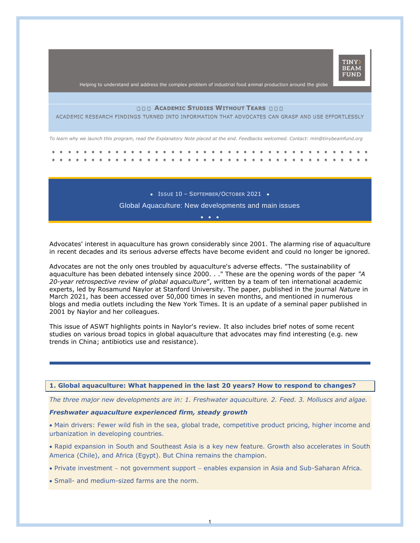

Helping to understand and address the complex problem of industrial food animal production around the globe

# **ACADEMIC STUDIES WITHOUT TEARS**

ACADEMIC RESEARCH FINDINGS TURNED INTO INFORMATION THAT ADVOCATES CAN GRASP AND USE EFFORTLESSLY

*To learn why we launch this program, read the Explanatory Note placed at the end. Feedbacks welcomed. Contact: min@tinybeamfund.org* 

• ISSUE 10 - SEPTEMBER/OCTOBER 2021 • Global Aquaculture: New developments and main issues

•••

Advocates' interest in aquaculture has grown considerably since 2001. The alarming rise of aquaculture in recent decades and its serious adverse effects have become evident and could no longer be ignored.

Advocates are not the only ones troubled by aquaculture's adverse effects. "The sustainability of aquaculture has been debated intensely since 2000. . ." These are the opening words of the paper *"A 20-year retrospective review of global aquaculture"*, written by a team of ten international academic experts, led by Rosamund Naylor at Stanford University. The paper, published in the journal *Nature* in March 2021, has been accessed over 50,000 times in seven months, and mentioned in numerous blogs and media outlets including the New York Times. It is an update of a seminal paper published in 2001 by Naylor and her colleagues.

This issue of ASWT highlights points in Naylor's review. It also includes brief notes of some recent studies on various broad topics in global aquaculture that advocates may find interesting (e.g. new trends in China; antibiotics use and resistance).

#### **1. Global aquaculture: What happened in the last 20 years? How to respond to changes?**

*The three major new developments are in: 1. Freshwater aquaculture. 2. Feed. 3. Molluscs and algae.*

## *Freshwater aquaculture experienced firm, steady growth*

• Main drivers: Fewer wild fish in the sea, global trade, competitive product pricing, higher income and urbanization in developing countries.

• Rapid expansion in South and Southeast Asia is a key new feature. Growth also accelerates in South America (Chile), and Africa (Egypt). But China remains the champion.

• Private investment − not government support − enables expansion in Asia and Sub-Saharan Africa.

1

• Small- and medium-sized farms are the norm.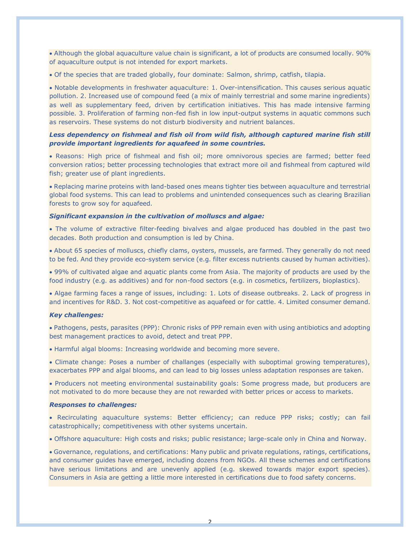• Although the global aquaculture value chain is significant, a lot of products are consumed locally. 90% of aquaculture output is not intended for export markets.

• Of the species that are traded globally, four dominate: Salmon, shrimp, catfish, tilapia.

• Notable developments in freshwater aquaculture: 1. Over-intensification. This causes serious aquatic pollution. 2. Increased use of compound feed (a mix of mainly terrestrial and some marine ingredients) as well as supplementary feed, driven by certification initiatives. This has made intensive farming possible. 3. Proliferation of farming non-fed fish in low input-output systems in aquatic commons such as reservoirs. These systems do not disturb biodiversity and nutrient balances.

# *Less dependency on fishmeal and fish oil from wild fish, although captured marine fish still provide important ingredients for aquafeed in some countries.*

• Reasons: High price of fishmeal and fish oil; more omnivorous species are farmed; better feed conversion ratios; better processing technologies that extract more oil and fishmeal from captured wild fish; greater use of plant ingredients.

• Replacing marine proteins with land-based ones means tighter ties between aquaculture and terrestrial global food systems. This can lead to problems and unintended consequences such as clearing Brazilian forests to grow soy for aquafeed.

## *Significant expansion in the cultivation of molluscs and algae:*

• The volume of extractive filter-feeding bivalves and algae produced has doubled in the past two decades. Both production and consumption is led by China.

• About 65 species of molluscs, chiefly clams, oysters, mussels, are farmed. They generally do not need to be fed. And they provide eco-system service (e.g. filter excess nutrients caused by human activities).

• 99% of cultivated algae and aquatic plants come from Asia. The majority of products are used by the food industry (e.g. as additives) and for non-food sectors (e.g. in cosmetics, fertilizers, bioplastics).

• Algae farming faces a range of issues, including: 1. Lots of disease outbreaks. 2. Lack of progress in and incentives for R&D. 3. Not cost-competitive as aquafeed or for cattle. 4. Limited consumer demand.

#### *Key challenges:*

• Pathogens, pests, parasites (PPP): Chronic risks of PPP remain even with using antibiotics and adopting best management practices to avoid, detect and treat PPP.

• Harmful algal blooms: Increasing worldwide and becoming more severe.

• Climate change: Poses a number of challanges (especially with suboptimal growing temperatures), exacerbates PPP and algal blooms, and can lead to big losses unless adaptation responses are taken.

• Producers not meeting environmental sustainability goals: Some progress made, but producers are not motivated to do more because they are not rewarded with better prices or access to markets.

#### *Responses to challenges:*

• Recirculating aquaculture systems: Better efficiency; can reduce PPP risks; costly; can fail catastrophically; competitiveness with other systems uncertain.

• Offshore aquaculture: High costs and risks; public resistance; large-scale only in China and Norway.

• Governance, regulations, and certifications: Many public and private regulations, ratings, certifications, and consumer guides have emerged, including dozens from NGOs. All these schemes and certifications have serious limitations and are unevenly applied (e.g. skewed towards major export species). Consumers in Asia are getting a little more interested in certifications due to food safety concerns.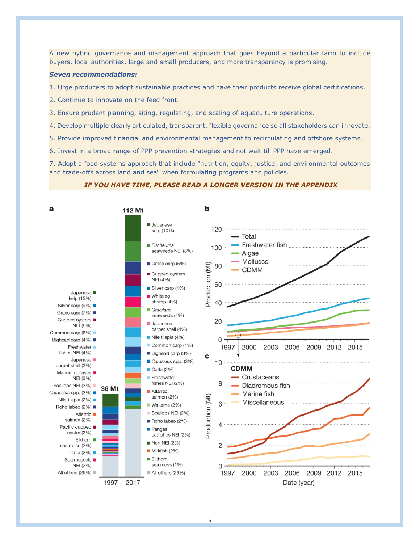A new hybrid governance and management approach that goes beyond a particular farm to include buyers, local authorities, large and small producers, and more transparency is promising.

# *Seven recommendations:*

1. Urge producers to adopt sustainable practices and have their products receive global certifications.

- 2. Continue to innovate on the feed front.
- 3. Ensure prudent planning, siting, regulating, and scaling of aquaculture operations.
- 4. Develop multiple clearly articulated, transparent, flexible governance so all stakeholders can innovate.
- 5. Provide improved financial and environmental management to recirculating and offshore systems.
- 6. Invest in a broad range of PPP prevention strategies and not wait till PPP have emerged.

7. Adopt a food systems approach that include "nutrition, equity, justice, and environmental outcomes and trade-offs across land and sea" when formulating programs and policies.

### *IF YOU HAVE TIME, PLEASE READ A LONGER VERSION IN THE APPENDIX*

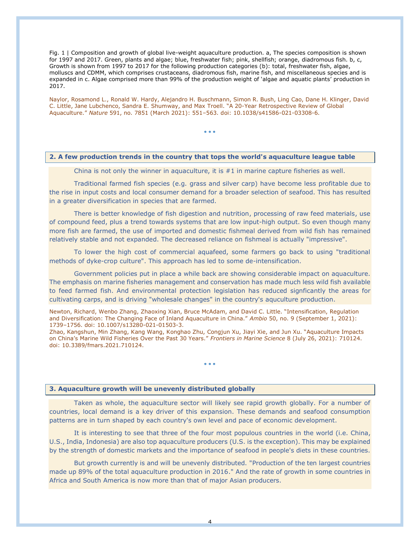Fig. 1 | Composition and growth of global live-weight aquaculture production. a, The species composition is shown for 1997 and 2017. Green, plants and algae; blue, freshwater fish; pink, shellfish; orange, diadromous fish. b, c, Growth is shown from 1997 to 2017 for the following production categories (b): total, freshwater fish, algae, molluscs and CDMM, which comprises crustaceans, diadromous fish, marine fish, and miscellaneous species and is expanded in c. Algae comprised more than 99% of the production weight of 'algae and aquatic plants' production in 2017.

Naylor, Rosamond L., Ronald W. Hardy, Alejandro H. Buschmann, Simon R. Bush, Ling Cao, Dane H. Klinger, David C. Little, Jane Lubchenco, Sandra E. Shumway, and Max Troell. "A 20-Year Retrospective Review of Global Aquaculture." *Nature* 591, no. 7851 (March 2021): 551–563. doi: 10.1038/s41586-021-03308-6.

• • •

### **2. A few production trends in the country that tops the world's aquaculture league table**

China is not only the winner in aquaculture, it is  $#1$  in marine capture fisheries as well.

Traditional farmed fish species (e.g. grass and silver carp) have become less profitable due to the rise in input costs and local consumer demand for a broader selection of seafood. This has resulted in a greater diversification in species that are farmed.

There is better knowledge of fish digestion and nutrition, processing of raw feed materials, use of compound feed, plus a trend towards systems that are low input-high output. So even though many more fish are farmed, the use of imported and domestic fishmeal derived from wild fish has remained relatively stable and not expanded. The decreased reliance on fishmeal is actually "impressive".

To lower the high cost of commercial aquafeed, some farmers go back to using "traditional methods of dyke-crop culture". This approach has led to some de-intensification.

Government policies put in place a while back are showing considerable impact on aquaculture. The emphasis on marine fisheries management and conservation has made much less wild fish available to feed farmed fish. And environmental protection legislation has reduced signficantly the areas for cultivating carps, and is driving "wholesale changes" in the country's aquculture production.

Newton, Richard, Wenbo Zhang, Zhaoxing Xian, Bruce McAdam, and David C. Little. "Intensification, Regulation and Diversification: The Changing Face of Inland Aquaculture in China." *Ambio* 50, no. 9 (September 1, 2021): 1739–1756. doi: 10.1007/s13280-021-01503-3.

Zhao, Kangshun, Min Zhang, Kang Wang, Konghao Zhu, Congjun Xu, Jiayi Xie, and Jun Xu. "Aquaculture Impacts on China's Marine Wild Fisheries Over the Past 30 Years." *Frontiers in Marine Science* 8 (July 26, 2021): 710124. doi: 10.3389/fmars.2021.710124.

• • •

### **3. Aquaculture growth will be unevenly distributed globally**

Taken as whole, the aquaculture sector will likely see rapid growth globally. For a number of countries, local demand is a key driver of this expansion. These demands and seafood consumption patterns are in turn shaped by each country's own level and pace of economic development.

It is interesting to see that three of the four most populous countries in the world (i.e. China, U.S., India, Indonesia) are also top aquaculture producers (U.S. is the exception). This may be explained by the strength of domestic markets and the importance of seafood in people's diets in these countries.

But growth currently is and will be unevenly distributed. "Production of the ten largest countries made up 89% of the total aquaculture production in 2016." And the rate of growth in some countries in Africa and South America is now more than that of major Asian producers.

4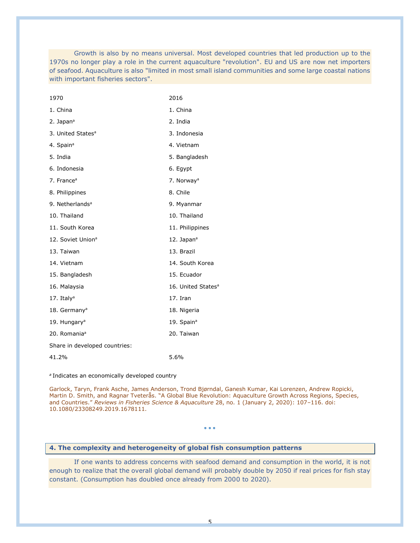Growth is also by no means universal. Most developed countries that led production up to the 1970s no longer play a role in the current aquaculture "revolution". EU and US are now net importers of seafood. Aquaculture is also "limited in most small island communities and some large coastal nations with important fisheries sectors".

| 1970                          | 2016                           |
|-------------------------------|--------------------------------|
| 1. China                      | 1. China                       |
| 2. Japan <sup>a</sup>         | 2. India                       |
| 3. United States <sup>a</sup> | 3. Indonesia                   |
| 4. Spain <sup>a</sup>         | 4. Vietnam                     |
| 5. India                      | 5. Bangladesh                  |
| 6. Indonesia                  | 6. Egypt                       |
| 7. France <sup>a</sup>        | 7. Norway <sup>a</sup>         |
| 8. Philippines                | 8. Chile                       |
| 9. Netherlands <sup>a</sup>   | 9. Myanmar                     |
| 10. Thailand                  | 10. Thailand                   |
| 11. South Korea               | 11. Philippines                |
| 12. Soviet Union <sup>a</sup> | 12. Japan <sup>a</sup>         |
| 13. Taiwan                    | 13. Brazil                     |
| 14. Vietnam                   | 14. South Korea                |
| 15. Bangladesh                | 15. Ecuador                    |
| 16. Malaysia                  | 16. United States <sup>a</sup> |
| 17. Italy <sup>a</sup>        | 17. Iran                       |
| 18. Germany <sup>a</sup>      | 18. Nigeria                    |
| 19. Hungary <sup>a</sup>      | 19. Spain <sup>a</sup>         |
| 20. Romania <sup>a</sup>      | 20. Taiwan                     |
| Share in developed countries: |                                |
| 41.2%                         | 5.6%                           |

*a* Indicates an economically developed country

Garlock, Taryn, Frank Asche, James Anderson, Trond Bjørndal, Ganesh Kumar, Kai Lorenzen, Andrew Ropicki, Martin D. Smith, and Ragnar Tveterås. "A Global Blue Revolution: Aquaculture Growth Across Regions, Species, and Countries." *Reviews in Fisheries Science & Aquaculture* 28, no. 1 (January 2, 2020): 107–116. doi: 10.1080/23308249.2019.1678111.

• • •

# **4. The complexity and heterogeneity of global fish consumption patterns**

If one wants to address concerns with seafood demand and consumption in the world, it is not enough to realize that the overall global demand will probably double by 2050 if real prices for fish stay constant. (Consumption has doubled once already from 2000 to 2020).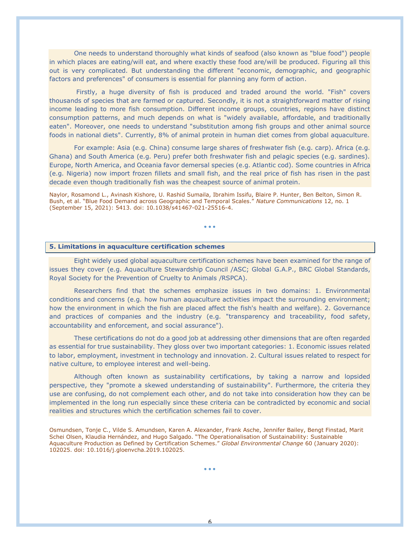One needs to understand thoroughly what kinds of seafood (also known as "blue food") people in which places are eating/will eat, and where exactly these food are/will be produced. Figuring all this out is very complicated. But understanding the different "economic, demographic, and geographic factors and preferences" of consumers is essential for planning any form of action.

Firstly, a huge diversity of fish is produced and traded around the world. "Fish" covers thousands of species that are farmed or captured. Secondly, it is not a straightforward matter of rising income leading to more fish consumption. Different income groups, countries, regions have distinct consumption patterns, and much depends on what is "widely available, affordable, and traditionally eaten". Moreover, one needs to understand "substitution among fish groups and other animal source foods in national diets". Currently, 8% of animal protein in human diet comes from global aquaculture.

For example: Asia (e.g. China) consume large shares of freshwater fish (e.g. carp). Africa (e.g. Ghana) and South America (e.g. Peru) prefer both freshwater fish and pelagic species (e.g. sardines). Europe, North America, and Oceania favor demersal species (e.g. Atlantic cod). Some countries in Africa (e.g. Nigeria) now import frozen fillets and small fish, and the real price of fish has risen in the past decade even though traditionally fish was the cheapest source of animal protein.

Naylor, Rosamond L., Avinash Kishore, U. Rashid Sumaila, Ibrahim Issifu, Blaire P. Hunter, Ben Belton, Simon R. Bush, et al. "Blue Food Demand across Geographic and Temporal Scales." *Nature Communications* 12, no. 1 (September 15, 2021): 5413. doi: 10.1038/s41467-021-25516-4.

• • •

# **5. Limitations in aquaculture certification schemes**

Eight widely used global aquaculture certification schemes have been examined for the range of issues they cover (e.g. Aquaculture Stewardship Council /ASC; Global G.A.P., BRC Global Standards, Royal Society for the Prevention of Cruelty to Animals /RSPCA).

Researchers find that the schemes emphasize issues in two domains: 1. Environmental conditions and concerns (e.g. how human aquaculture activities impact the surrounding environment; how the environment in which the fish are placed affect the fish's health and welfare). 2. Governance and practices of companies and the industry (e.g. "transparency and traceability, food safety, accountability and enforcement, and social assurance").

These certifications do not do a good job at addressing other dimensions that are often regarded as essential for true sustainability. They gloss over two important categories: 1. Economic issues related to labor, employment, investment in technology and innovation. 2. Cultural issues related to respect for native culture, to employee interest and well-being.

Although often known as sustainability certifications, by taking a narrow and lopsided perspective, they "promote a skewed understanding of sustainability". Furthermore, the criteria they use are confusing, do not complement each other, and do not take into consideration how they can be implemented in the long run especially since these criteria can be contradicted by economic and social realities and structures which the certification schemes fail to cover.

Osmundsen, Tonje C., Vilde S. Amundsen, Karen A. Alexander, Frank Asche, Jennifer Bailey, Bengt Finstad, Marit Schei Olsen, Klaudia Hernández, and Hugo Salgado. "The Operationalisation of Sustainability: Sustainable Aquaculture Production as Defined by Certification Schemes." *Global Environmental Change* 60 (January 2020): 102025. doi: 10.1016/j.gloenvcha.2019.102025.

• • •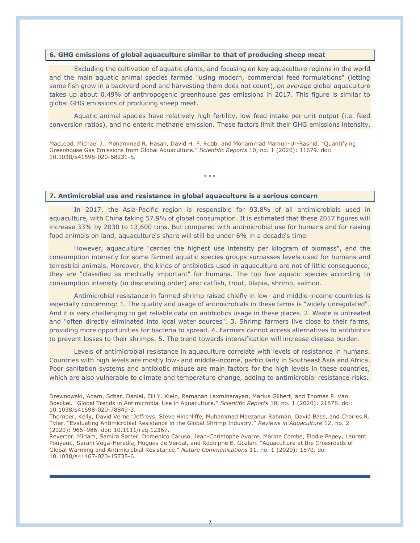# **6. GHG emissions of global aquaculture similar to that of producing sheep meat**

Excluding the cultivation of aquatic plants, and focusing on key aquaculture regions in the world and the main aquatic animal species farmed "using modern, commercial feed formulations" (letting some fish grow in a backyard pond and harvesting them does not count), *on average* global aquaculture takes up about 0.49% of anthropogenic greenhouse gas emissions in 2017. This figure is similar to global GHG emissions of producing sheep meat.

Aquatic animal species have relatively high fertility, low feed intake per unit output (i.e. feed conversion ratios), and no enteric methane emission. These factors limit their GHG emissions intensity.

MacLeod, Michael J., Mohammad R. Hasan, David H. F. Robb, and Mohammad Mamun-Ur-Rashid. "Quantifying Greenhouse Gas Emissions from Global Aquaculture." *Scientific Reports* 10, no. 1 (2020): 11679. doi: 10.1038/s41598-020-68231-8.

• • •

# **7. Antimicrobial use and resistance in global aquaculture is a serious concern**

In 2017, the Asia-Pacific region is responsible for 93.8% of all antimicrobials used in aquaculture, with China taking 57.9% of global consumption. It is estimated that these 2017 figures will increase 33% by 2030 to 13,600 tons. But compared with antimicrobial use for humans and for raising food animals on land, aquaculture's share will still be under 6% in a decade's time.

However, aquaculture "carries the highest use intensity per kilogram of biomass", and the consumption intensity for some farmed aquatic species groups surpasses levels used for humans and terrestrial animals. Moreover, the kinds of antibiotics used in aquaculture are not of little consequence; they are "classified as medically important" for humans. The top five aquatic species according to consumption intensity (in descending order) are: catfish, trout, tilapia, shrimp, salmon.

Antimicrobial resistance in farmed shrimp raised chiefly in low- and middle-income countries is especially concerning: 1. The quality and usage of antimicrobials in these farms is "widely unregulated". And it is very challenging to get reliable data on antibiotics usage in these places. 2. Waste is untreated and "often directly eliminated into local water sources". 3. Shrimp farmers live close to their farms, providing more opportunities for bacteria to spread. 4. Farmers cannot access alternatives to antibiotics to prevent losses to their shrimps. 5. The trend towards intensification will increase disease burden.

Levels of antimicrobial resistance in aquaculture correlate with levels of resistance in humans. Countries with high levels are mostly low- and middle-income, particularly in Southeast Asia and Africa. Poor sanitation systems and antibiotic misuse are main factors for the high levels in these countries, which are also vulnerable to climate and temperature change, adding to antimicrobial resistance risks.

Drewnowski, Adam, Schar, Daniel, Eili Y. Klein, Ramanan Laxminarayan, Marius Gilbert, and Thomas P. Van Boeckel. "Global Trends in Antimicrobial Use in Aquaculture." *Scientific Reports* 10, no. 1 (2020): 21878. doi: 10.1038/s41598-020-78849-3.

Thornber, Kelly, David Verner‐Jeffreys, Steve Hinchliffe, Muhammad Meezanur Rahman, David Bass, and Charles R. Tyler. "Evaluating Antimicrobial Resistance in the Global Shrimp Industry." *Reviews in Aquaculture* 12, no. 2 (2020): 966–986. doi: 10.1111/raq.12367.

Reverter, Miriam, Samira Sarter, Domenico Caruso, Jean-Christophe Avarre, Marine Combe, Elodie Pepey, Laurent Pouyaud, Sarahi Vega-Heredía, Hugues de Verdal, and Rodolphe E. Gozlan. "Aquaculture at the Crossroads of Global Warming and Antimicrobial Resistance." *Nature Communications* 11, no. 1 (2020): 1870. doi: 10.1038/s41467-020-15735-6.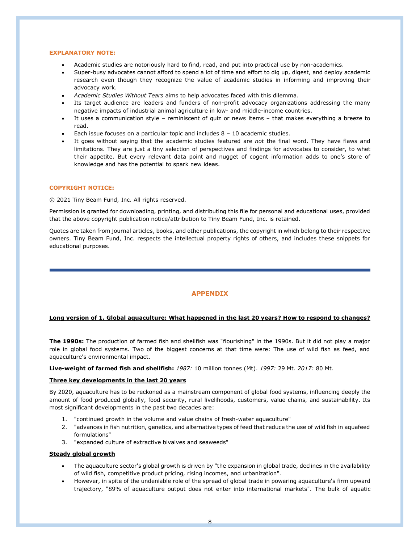#### **EXPLANATORY NOTE:**

- Academic studies are notoriously hard to find, read, and put into practical use by non-academics.
- Super-busy advocates cannot afford to spend a lot of time and effort to dig up, digest, and deploy academic research even though they recognize the value of academic studies in informing and improving their advocacy work.
- *Academic Studies Without Tears* aims to help advocates faced with this dilemma.
- Its target audience are leaders and funders of non-profit advocacy organizations addressing the many negative impacts of industrial animal agriculture in low- and middle-income countries.
- It uses a communication style reminiscent of quiz or news items that makes everything a breeze to read.
- Each issue focuses on a particular topic and includes  $8 10$  academic studies.
- It goes without saying that the academic studies featured are *not* the final word. They have flaws and limitations. They are just a tiny selection of perspectives and findings for advocates to consider, to whet their appetite. But every relevant data point and nugget of cogent information adds to one's store of knowledge and has the potential to spark new ideas.

#### **COPYRIGHT NOTICE:**

© 2021 Tiny Beam Fund, Inc. All rights reserved.

Permission is granted for downloading, printing, and distributing this file for personal and educational uses, provided that the above copyright publication notice/attribution to Tiny Beam Fund, Inc. is retained.

Quotes are taken from journal articles, books, and other publications, the copyright in which belong to their respective owners. Tiny Beam Fund, Inc. respects the intellectual property rights of others, and includes these snippets for educational purposes.

# **APPENDIX**

#### **Long version of 1. Global aquaculture: What happened in the last 20 years? How to respond to changes?**

**The 1990s:** The production of farmed fish and shellfish was "flourishing" in the 1990s. But it did not play a major role in global food systems. Two of the biggest concerns at that time were: The use of wild fish as feed, and aquaculture's environmental impact.

**Live-weight of farmed fish and shellfish:** *1987:* 10 million tonnes (Mt). *1997:* 29 Mt. *2017:* 80 Mt.

#### **Three key developments in the last 20 years**

By 2020, aquaculture has to be reckoned as a mainstream component of global food systems, influencing deeply the amount of food produced globally, food security, rural livelihoods, customers, value chains, and sustainability. Its most significant developments in the past two decades are:

- 1. "continued growth in the volume and value chains of fresh-water aquaculture"
- 2. "advances in fish nutrition, genetics, and alternative types of feed that reduce the use of wild fish in aquafeed formulations"
- 3. "expanded culture of extractive bivalves and seaweeds"

#### **Steady global growth**

- The aquaculture sector's global growth is driven by "the expansion in global trade, declines in the availability of wild fish, competitive product pricing, rising incomes, and urbanization".
- However, in spite of the undeniable role of the spread of global trade in powering aquaculture's firm upward trajectory, "89% of aquaculture output does not enter into international markets". The bulk of aquatic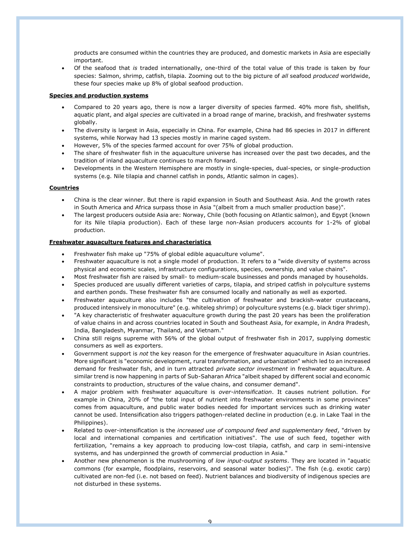products are consumed within the countries they are produced, and domestic markets in Asia are especially important.

• Of the seafood that *is* traded internationally, one-third of the total value of this trade is taken by four species: Salmon, shrimp, catfish, tilapia. Zooming out to the big picture of *all* seafood *produced* worldwide, these four species make up 8% of global seafood production.

## **Species and production systems**

- Compared to 20 years ago, there is now a larger diversity of species farmed. 40% more fish, shellfish, aquatic plant, and algal *species* are cultivated in a broad range of marine, brackish, and freshwater systems globally.
- The diversity is largest in Asia, especially in China. For example, China had 86 species in 2017 in different systems, while Norway had 13 species mostly in marine caged system.
- However, 5% of the species farmed account for over 75% of global production.
- The share of freshwater fish in the aquaculture universe has increased over the past two decades, and the tradition of inland aquaculture continues to march forward.
- Developments in the Western Hemisphere are mostly in single-species, dual-species, or single-production systems (e.g. Nile tilapia and channel catfish in ponds, Atlantic salmon in cages).

## **Countries**

- China is the clear winner. But there is rapid expansion in South and Southeast Asia. And the growth rates in South America and Africa surpass those in Asia "(albeit from a much smaller production base)".
- The largest producers outside Asia are: Norway, Chile (both focusing on Atlantic salmon), and Egypt (known for its Nile tilapia production). Each of these large non-Asian producers accounts for 1-2% of global production.

## **Freshwater aquaculture features and characteristics**

- Freshwater fish make up "75% of global edible aquaculture volume".
- Freshwater aquaculture is not a single model of production. It refers to a "wide diversity of systems across physical and economic scales, infrastructure configurations, species, ownership, and value chains".
- Most freshwater fish are raised by small- to medium-scale businesses and ponds managed by households.
- Species produced are usually different varieties of carps, tilapia, and striped catfish in polyculture systems and earthen ponds. These freshwater fish are consumed locally and nationally as well as exported.
- Freshwater aquaculture also includes "the cultivation of freshwater and brackish-water crustaceans, produced intensively in monoculture" (e.g. whiteleg shrimp) or polyculture systems (e.g. black tiger shrimp).
- "A key characteristic of freshwater aquaculture growth during the past 20 years has been the proliferation of value chains in and across countries located in South and Southeast Asia, for example, in Andra Pradesh, India, Bangladesh, Myanmar, Thailand, and Vietnam."
- China still reigns supreme with 56% of the global output of freshwater fish in 2017, supplying domestic consumers as well as exporters.
- Government support is *not* the key reason for the emergence of freshwater aquaculture in Asian countries. More significant is "economic development, rural transformation, and urbanization" which led to an increased demand for freshwater fish, and in turn attracted *private sector investment* in freshwater aquaculture. A similar trend is now happening in parts of Sub-Saharan Africa "albeit shaped by different social and economic constraints to production, structures of the value chains, and consumer demand".
- A major problem with freshwater aquaculture is *over-intensification*. It causes nutrient pollution. For example in China, 20% of "the total input of nutrient into freshwater environments in some provinces" comes from aquaculture, and public water bodies needed for important services such as drinking water cannot be used. Intensification also triggers pathogen-related decline in production (e.g. in Lake Taal in the Philippines).
- Related to over-intensification is the *increased use of compound feed and supplementary feed*, "driven by local and international companies and certification initiatives". The use of such feed, together with fertilization, "remains a key approach to producing low-cost tilapia, catfish, and carp in semi-intensive systems, and has underpinned the growth of commercial production in Asia."
- Another new phenomenon is the mushrooming of *low input-output systems*. They are located in "aquatic commons (for example, floodplains, reservoirs, and seasonal water bodies)". The fish (e.g. exotic carp) cultivated are non-fed (i.e. not based on feed). Nutrient balances and biodiversity of indigenous species are not disturbed in these systems.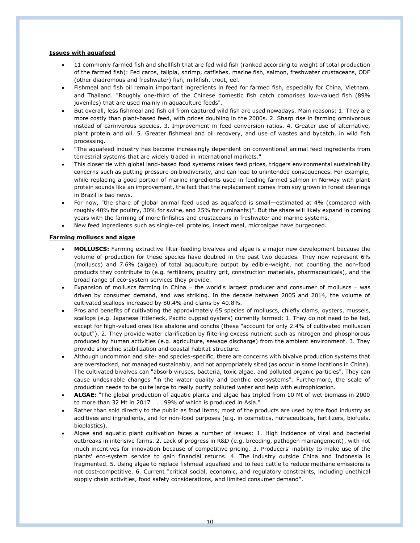## **Issues with aquafeed**

- 11 commonly farmed fish and shellfish that are fed wild fish (ranked according to weight of total production of the farmed fish): Fed carps, talipia, shrimp, catfishes, marine fish, salmon, freshwater crustaceans, ODF (other diadromous and freshwater) fish, milkfish, trout, eel.
- Fishmeal and fish oil remain important ingredients in feed for farmed fish, especially for China, Vietnam, and Thailand. "Roughly one-third of the Chinese domestic fish catch comprises low-valued fish (89% juveniles) that are used mainly in aquaculture feeds".
- But overall, less fishmeal and fish oil from captured wild fish are used nowadays. Main reasons: 1. They are more costly than plant-based feed, with prices doubling in the 2000s. 2. Sharp rise in farming omnivorous instead of carnivorous species. 3. Improvement in feed conversion ratios. 4. Greater use of alternative, plant protein and oil. 5. Greater fishmeal and oil recovery, and use of wastes and bycatch, in wild fish processing.
- "The aquafeed industry has become increasingly dependent on conventional animal feed ingredients from terrestrial systems that are widely traded in international markets."
- This closer tie with global land-based food systems raises feed prices, triggers environmental sustainability concerns such as putting pressure on biodiversity, and can lead to unintended consequences. For example, while replacing a good portion of marine ingredients used in feeding farmed salmon in Norway with plant protein sounds like an improvement, the fact that the replacement comes from soy grown in forest clearings in Brazil is bad news.
- For now, "the share of global animal feed used as aquafeed is small—estimated at 4% (compared with roughly 40% for poultry, 30% for swine, and 25% for ruminants)". But the share will likely expand in coming years with the farming of more finfishes and crustaceans in freshwater and marine systems.
- New feed ingredients such as single-cell proteins, insect meal, microalgae have burgeoned.

# **Farming molluscs and algae**

- **MOLLUSCS:** Farming extractive filter-feeding bivalves and algae is a major new development because the volume of production for these species have doubled in the past two decades. They now represent 6% (molluscs) and 7.6% (algae) of total aquaculture output by edible-weight, not counting the non-food products they contribute to (e.g. fertilizers, poultry grit, construction materials, pharmaceuticals), and the broad range of eco-system services they provide.
- Expansion of molluscs farming in China − the world's largest producer and consumer of molluscs − was driven by consumer demand, and was striking. In the decade between 2005 and 2014, the volume of cultivated scallops increased by 80.4% and clams by 40.8%.
- Pros and benefits of cultivating the approximately 65 species of molluscs, chiefly clams, oysters, mussels, scallops (e.g. Japanese littleneck, Pacific cupped oysters) currently farmed: 1. They do not need to be fed, except for high-valued ones like abalone and conchs (these "account for only 2.4% of cultivated molluscan output"). 2. They provide water clarification by filtering excess nutrient such as nitrogen and phosphorous produced by human activities (e.g. agriculture, sewage discharge) from the ambient environment. 3. They provide shoreline stabilization and coastal habitat structure.
- Although uncommon and site- and species-specific, there are concerns with bivalve production systems that are overstocked, not managed sustainably, and not appropriately sited (as occur in some locations in China). The cultivated bivalves can "absorb viruses, bacteria, toxic algae, and polluted organic particles". They can cause undesirable changes "in the water quality and benthic eco-systems". Furthermore, the scale of production needs to be quite large to really purify polluted water and help with eutrophication.
- **ALGAE:** "The global production of aquatic plants and algae has tripled from 10 Mt of wet biomass in 2000 to more than 32 Mt in 2017 . . . 99% of which is produced in Asia."
- Rather than sold directly to the public as food items, most of the products are used by the food industry as additives and ingredients, and for non-food purposes (e.g. in cosmetics, nutraceuticals, fertilizers, biofuels, bioplastics).
- Algae and aquatic plant cultivation faces a number of issues: 1. High incidence of viral and bacterial outbreaks in intensive farms. 2. Lack of progress in R&D (e.g. breeding, pathogen manangement), with not much incentives for innovation because of competitive pricing. 3. Producers' inability to make use of the plants' eco-system service to gain financial returns. 4. The industry outside China and Indonesia is fragmented. 5. Using algae to replace fishmeal aquafeed and to feed cattle to reduce methane emissions is not cost-competitive. 6. Current "critical social, economic, and regulatory constraints, including unethical supply chain activities, food safety considerations, and limited consumer demand".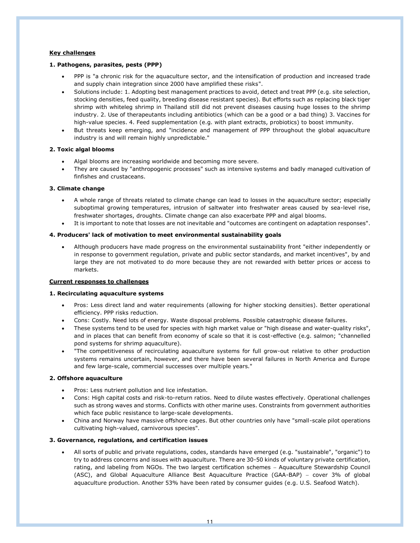# **Key challenges**

## **1. Pathogens, parasites, pests (PPP)**

- PPP is "a chronic risk for the aquaculture sector, and the intensification of production and increased trade and supply chain integration since 2000 have amplified these risks".
- Solutions include: 1. Adopting best management practices to avoid, detect and treat PPP (e.g. site selection, stocking densities, feed quality, breeding disease resistant species). But efforts such as replacing black tiger shrimp with whiteleg shrimp in Thailand still did not prevent diseases causing huge losses to the shrimp industry. 2. Use of therapeutants including antibiotics (which can be a good or a bad thing) 3. Vaccines for high-value species. 4. Feed supplementation (e.g. with plant extracts, probiotics) to boost immunity.
- But threats keep emerging, and "incidence and management of PPP throughout the global aquaculture industry is and will remain highly unpredictable."

# **2. Toxic algal blooms**

- Algal blooms are increasing worldwide and becoming more severe.
- They are caused by "anthropogenic processes" such as intensive systems and badly managed cultivation of finfishes and crustaceans.

## **3. Climate change**

- A whole range of threats related to climate change can lead to losses in the aquaculture sector; especially suboptimal growing temperatures, intrusion of saltwater into freshwater areas caused by sea-level rise, freshwater shortages, droughts. Climate change can also exacerbate PPP and algal blooms.
- It is important to note that losses are not inevitable and "outcomes are contingent on adaptation responses".

## **4. Producers' lack of motivation to meet environmental sustainability goals**

• Although producers have made progress on the environmental sustainability front "either independently or in response to government regulation, private and public sector standards, and market incentives", by and large they are not motivated to do more because they are not rewarded with better prices or access to markets.

#### **Current responses to challenges**

## **1. Recirculating aquaculture systems**

- Pros: Less direct land and water requirements (allowing for higher stocking densities). Better operational efficiency. PPP risks reduction.
- Cons: Costly. Need lots of energy. Waste disposal problems. Possible catastrophic disease failures.
- These systems tend to be used for species with high market value or "high disease and water-quality risks", and in places that can benefit from economy of scale so that it is cost-effective (e.g. salmon; "channelled pond systems for shrimp aquaculture).
- "The competitiveness of recirculating aquaculture systems for full grow-out relative to other production systems remains uncertain, however, and there have been several failures in North America and Europe and few large-scale, commercial successes over multiple years."

# **2. Offshore aquaculture**

- Pros: Less nutrient pollution and lice infestation.
- Cons: High capital costs and risk-to-return ratios. Need to dilute wastes effectively. Operational challenges such as strong waves and storms. Conflicts with other marine uses. Constraints from government authorities which face public resistance to large-scale developments.
- China and Norway have massive offshore cages. But other countries only have "small-scale pilot operations cultivating high-valued, carnivorous species".

### **3. Governance, regulations, and certification issues**

• All sorts of public and private regulations, codes, standards have emerged (e.g. "sustainable", "organic") to try to address concerns and issues with aquaculture. There are 30-50 kinds of voluntary private certification, rating, and labeling from NGOs. The two largest certification schemes − Aquaculture Stewardship Council (ASC), and Global Aquaculture Alliance Best Aquaculture Practice (GAA-BAP) − cover 3% of global aquaculture production. Another 53% have been rated by consumer guides (e.g. U.S. Seafood Watch).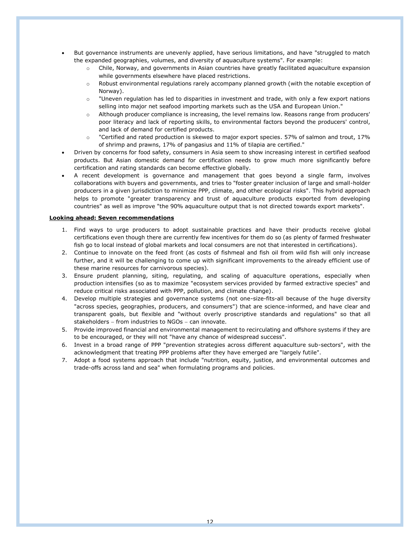- But governance instruments are unevenly applied, have serious limitations, and have "struggled to match the expanded geographies, volumes, and diversity of aquaculture systems". For example:
	- o Chile, Norway, and governments in Asian countries have greatly facilitated aquaculture expansion while governments elsewhere have placed restrictions.
	- o Robust environmental regulations rarely accompany planned growth (with the notable exception of Norway).
	- $\circ$  "Uneven regulation has led to disparities in investment and trade, with only a few export nations selling into major net seafood importing markets such as the USA and European Union."
	- o Although producer compliance is increasing, the level remains low. Reasons range from producers' poor literacy and lack of reporting skills, to environmental factors beyond the producers' control, and lack of demand for certified products.
	- $\circ$  "Certified and rated production is skewed to major export species. 57% of salmon and trout, 17% of shrimp and prawns, 17% of pangasius and 11% of tilapia are certified."
- Driven by concerns for food safety, consumers in Asia seem to show increasing interest in certified seafood products. But Asian domestic demand for certification needs to grow much more significantly before certification and rating standards can become effective globally.
- A recent development is governance and management that goes beyond a single farm, involves collaborations with buyers and governments, and tries to "foster greater inclusion of large and small-holder producers in a given jurisdiction to minimize PPP, climate, and other ecological risks". This hybrid approach helps to promote "greater transparency and trust of aquaculture products exported from developing countries" as well as improve "the 90% aquaculture output that is not directed towards export markets".

## **Looking ahead: Seven recommendations**

- 1. Find ways to urge producers to adopt sustainable practices and have their products receive global certifications even though there are currently few incentives for them do so (as plenty of farmed freshwater fish go to local instead of global markets and local consumers are not that interested in certifications).
- 2. Continue to innovate on the feed front (as costs of fishmeal and fish oil from wild fish will only increase further, and it will be challenging to come up with significant improvements to the already efficient use of these marine resources for carnivorous species).
- 3. Ensure prudent planning, siting, regulating, and scaling of aquaculture operations, especially when production intensifies (so as to maximize "ecosystem services provided by farmed extractive species" and reduce critical risks associated with PPP, pollution, and climate change).
- 4. Develop multiple strategies and governance systems (not one-size-fits-all because of the huge diversity "across species, geographies, producers, and consumers") that are science-informed, and have clear and transparent goals, but flexible and "without overly proscriptive standards and regulations" so that all stakeholders – from industries to NGOs – can innovate.
- 5. Provide improved financial and environmental management to recirculating and offshore systems if they are to be encouraged, or they will not "have any chance of widespread success".
- 6. Invest in a broad range of PPP "prevention strategies across different aquaculture sub-sectors", with the acknowledgment that treating PPP problems after they have emerged are "largely futile".
- 7. Adopt a food systems approach that include "nutrition, equity, justice, and environmental outcomes and trade-offs across land and sea" when formulating programs and policies.